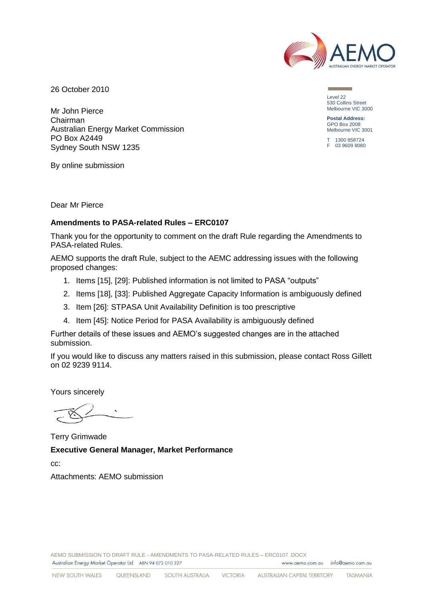

26 October 2010

Mr John Pierce Chairman Australian Energy Market Commission PO Box A2449 Sydney South NSW 1235

Level 22 530 Collins Street Melbourne VIC 3000

**Postal Address:** GPO Box 2008 Melbourne VIC 3001

T 1300 858724 F 03 9609 8080

By online submission

Dear Mr Pierce

## **Amendments to PASA-related Rules – ERC0107**

Thank you for the opportunity to comment on the draft Rule regarding the Amendments to PASA-related Rules.

AEMO supports the draft Rule, subject to the AEMC addressing issues with the following proposed changes:

- 1. Items [15], [29]: Published information is not limited to PASA "outputs"
- 2. Items [18], [33]: Published Aggregate Capacity Information is ambiguously defined
- 3. Item [26]: STPASA Unit Availability Definition is too prescriptive
- 4. Item [45]: Notice Period for PASA Availability is ambiguously defined

Further details of these issues and AEMO's suggested changes are in the attached submission.

If you would like to discuss any matters raised in this submission, please contact Ross Gillett on 02 9239 9114.

Yours sincerely

Terry Grimwade **Executive General Manager, Market Performance** cc:

Attachments: AEMO submission

AEMO SUBMISSION TO DRAFT RULE - AMENDMENTS TO PASA-RELATED RULES – ERC0107 .DOCX Australian Energy Market Operator Ltd ABN 94 072 010 327 www.gemo.com.gu info@gemo.com.gu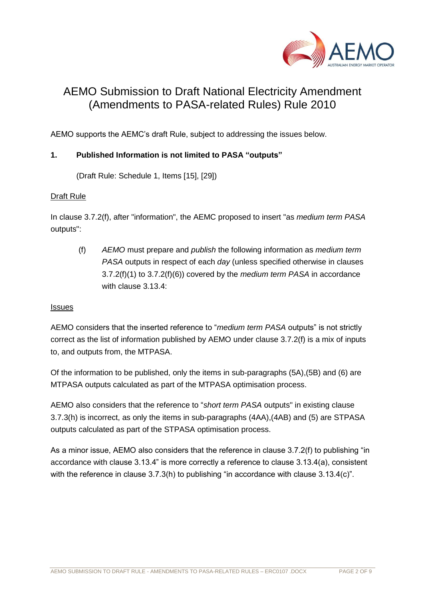

# AEMO Submission to Draft National Electricity Amendment (Amendments to PASA-related Rules) Rule 2010

AEMO supports the AEMC's draft Rule, subject to addressing the issues below.

# **1. Published Information is not limited to PASA "outputs"**

(Draft Rule: Schedule 1, Items [15], [29])

# Draft Rule

In clause 3.7.2(f), after "information", the AEMC proposed to insert "as *medium term PASA* outputs":

(f) *AEMO* must prepare and *publish* the following information as *medium term PASA* outputs in respect of each *day* (unless specified otherwise in clauses 3.7.2(f)(1) to 3.7.2(f)(6)) covered by the *medium term PASA* in accordance with clause 3.13.4:

## Issues

AEMO considers that the inserted reference to "*medium term PASA* outputs" is not strictly correct as the list of information published by AEMO under clause 3.7.2(f) is a mix of inputs to, and outputs from, the MTPASA.

Of the information to be published, only the items in sub-paragraphs (5A),(5B) and (6) are MTPASA outputs calculated as part of the MTPASA optimisation process.

AEMO also considers that the reference to "*short term PASA* outputs" in existing clause 3.7.3(h) is incorrect, as only the items in sub-paragraphs (4AA),(4AB) and (5) are STPASA outputs calculated as part of the STPASA optimisation process.

As a minor issue, AEMO also considers that the reference in clause 3.7.2(f) to publishing "in accordance with clause 3.13.4" is more correctly a reference to clause 3.13.4(a), consistent with the reference in clause 3.7.3(h) to publishing "in accordance with clause 3.13.4(c)".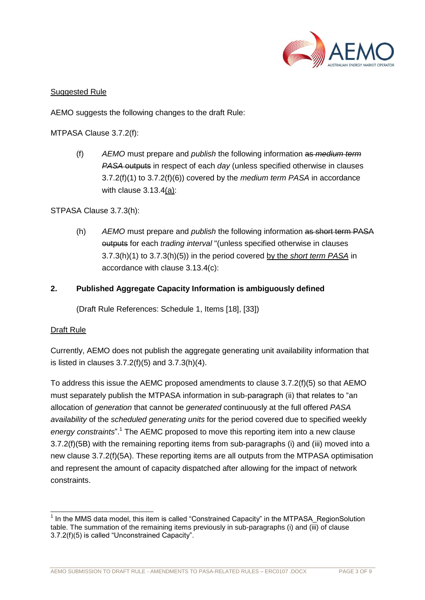

# Suggested Rule

AEMO suggests the following changes to the draft Rule:

MTPASA Clause 3.7.2(f):

(f) *AEMO* must prepare and *publish* the following information as *medium term PASA* outputs in respect of each *day* (unless specified otherwise in clauses 3.7.2(f)(1) to 3.7.2(f)(6)) covered by the *medium term PASA* in accordance with clause 3.13.4(a):

# STPASA Clause 3.7.3(h):

(h) *AEMO* must prepare and *publish* the following information as short term PASA outputs for each *trading interval* "(unless specified otherwise in clauses 3.7.3(h)(1) to 3.7.3(h)(5)) in the period covered by the *short term PASA* in accordance with clause 3.13.4(c):

# **2. Published Aggregate Capacity Information is ambiguously defined**

(Draft Rule References: Schedule 1, Items [18], [33])

## Draft Rule

Currently, AEMO does not publish the aggregate generating unit availability information that is listed in clauses 3.7.2(f)(5) and 3.7.3(h)(4).

To address this issue the AEMC proposed amendments to clause 3.7.2(f)(5) so that AEMO must separately publish the MTPASA information in sub-paragraph (ii) that relates to "an allocation of *generation* that cannot be *generated* continuously at the full offered *PASA availability* of the *scheduled generating units* for the period covered due to specified weekly *energy constraints*".<sup>1</sup> The AEMC proposed to move this reporting item into a new clause 3.7.2(f)(5B) with the remaining reporting items from sub-paragraphs (i) and (iii) moved into a new clause 3.7.2(f)(5A). These reporting items are all outputs from the MTPASA optimisation and represent the amount of capacity dispatched after allowing for the impact of network constraints.

l <sup>1</sup> In the MMS data model, this item is called "Constrained Capacity" in the MTPASA\_RegionSolution table. The summation of the remaining items previously in sub-paragraphs (i) and (iii) of clause 3.7.2(f)(5) is called "Unconstrained Capacity".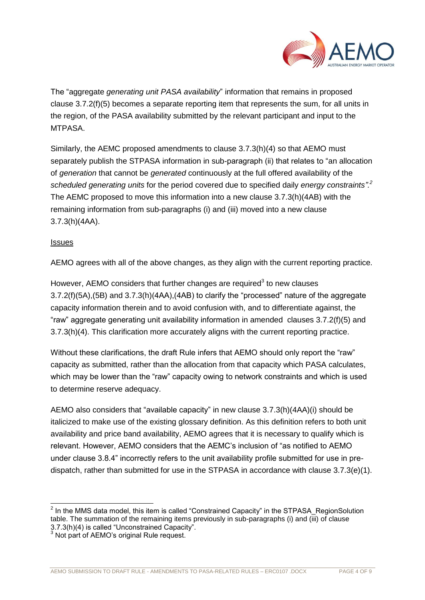

The "aggregate *generating unit PASA availability*" information that remains in proposed clause 3.7.2(f)(5) becomes a separate reporting item that represents the sum, for all units in the region, of the PASA availability submitted by the relevant participant and input to the MTPASA.

Similarly, the AEMC proposed amendments to clause 3.7.3(h)(4) so that AEMO must separately publish the STPASA information in sub-paragraph (ii) that relates to "an allocation of *generation* that cannot be *generated* continuously at the full offered availability of the *scheduled generating units* for the period covered due to specified daily *energy constraints".<sup>2</sup>* The AEMC proposed to move this information into a new clause 3.7.3(h)(4AB) with the remaining information from sub-paragraphs (i) and (iii) moved into a new clause 3.7.3(h)(4AA).

# **Issues**

AEMO agrees with all of the above changes, as they align with the current reporting practice.

However, AEMO considers that further changes are required<sup>3</sup> to new clauses 3.7.2(f)(5A),(5B) and 3.7.3(h)(4AA),(4AB) to clarify the "processed" nature of the aggregate capacity information therein and to avoid confusion with, and to differentiate against, the "raw" aggregate generating unit availability information in amended clauses 3.7.2(f)(5) and 3.7.3(h)(4). This clarification more accurately aligns with the current reporting practice.

Without these clarifications, the draft Rule infers that AEMO should only report the "raw" capacity as submitted, rather than the allocation from that capacity which PASA calculates, which may be lower than the "raw" capacity owing to network constraints and which is used to determine reserve adequacy.

AEMO also considers that "available capacity" in new clause 3.7.3(h)(4AA)(i) should be italicized to make use of the existing glossary definition. As this definition refers to both unit availability and price band availability, AEMO agrees that it is necessary to qualify which is relevant. However, AEMO considers that the AEMC's inclusion of "as notified to AEMO under clause 3.8.4" incorrectly refers to the unit availability profile submitted for use in predispatch, rather than submitted for use in the STPASA in accordance with clause 3.7.3(e)(1).

 2 In the MMS data model, this item is called "Constrained Capacity" in the STPASA\_RegionSolution table. The summation of the remaining items previously in sub-paragraphs (i) and  $\overline{(\mathbf{i}\mathbf{i})}$  of clause 3.7.3(h)(4) is called "Unconstrained Capacity".

<sup>&</sup>lt;sup>3</sup> Not part of AEMO's original Rule request.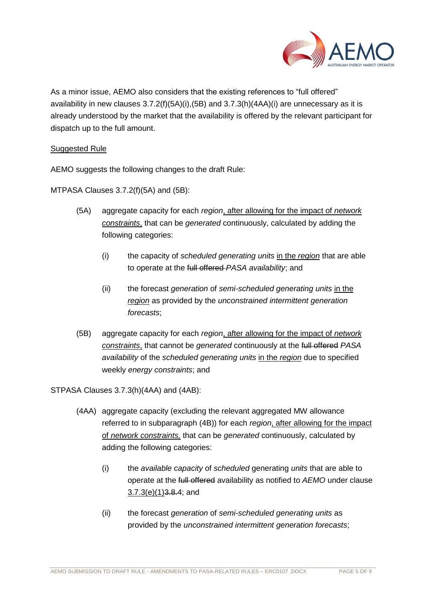

As a minor issue, AEMO also considers that the existing references to "full offered" availability in new clauses  $3.7.2(f)(5A)(i),(5B)$  and  $3.7.3(h)(4AA)(i)$  are unnecessary as it is already understood by the market that the availability is offered by the relevant participant for dispatch up to the full amount.

## Suggested Rule

AEMO suggests the following changes to the draft Rule:

MTPASA Clauses 3.7.2(f)(5A) and (5B):

- (5A) aggregate capacity for each *region*, after allowing for the impact of *network constraints*, that can be *generated* continuously, calculated by adding the following categories:
	- (i) the capacity of *scheduled generating units* in the *region* that are able to operate at the full offered *PASA availability*; and
	- (ii) the forecast *generation* of *semi-scheduled generating units* in the *region* as provided by the *unconstrained intermittent generation forecasts*;
- (5B) aggregate capacity for each *region*, after allowing for the impact of *network constraints*, that cannot be *generated* continuously at the full offered *PASA availability* of the *scheduled generating units* in the *region* due to specified weekly *energy constraints*; and

STPASA Clauses 3.7.3(h)(4AA) and (4AB):

- (4AA) aggregate capacity (excluding the relevant aggregated MW allowance referred to in subparagraph (4B)) for each *region*, after allowing for the impact of *network constraints,* that can be *generated* continuously, calculated by adding the following categories:
	- (i) the *available capacity* of *scheduled* generating *units* that are able to operate at the full offered availability as notified to *AEMO* under clause  $3.7.3(e)(1)3.8.4$ ; and
	- (ii) the forecast *generation* of *semi-scheduled generating units* as provided by the *unconstrained intermittent generation forecasts*;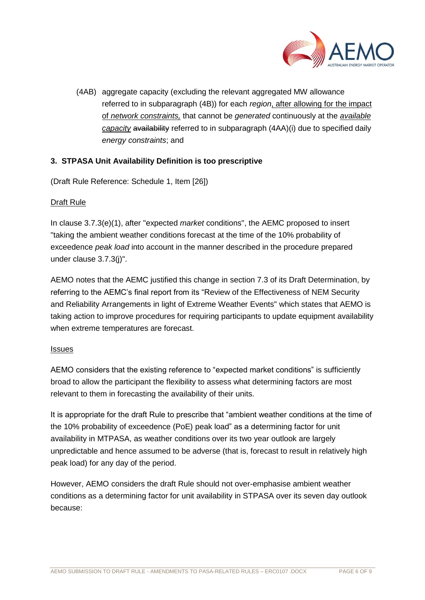

(4AB) aggregate capacity (excluding the relevant aggregated MW allowance referred to in subparagraph (4B)) for each *region*, after allowing for the impact of *network constraints,* that cannot be *generated* continuously at the *available capacity* availability referred to in subparagraph (4AA)(i) due to specified daily *energy constraints*; and

# **3. STPASA Unit Availability Definition is too prescriptive**

(Draft Rule Reference: Schedule 1, Item [26])

# Draft Rule

In clause 3.7.3(e)(1), after "expected *market* conditions", the AEMC proposed to insert "taking the ambient weather conditions forecast at the time of the 10% probability of exceedence *peak load* into account in the manner described in the procedure prepared under clause 3.7.3(j)".

AEMO notes that the AEMC justified this change in section 7.3 of its Draft Determination, by referring to the AEMC's final report from its "Review of the Effectiveness of NEM Security and Reliability Arrangements in light of Extreme Weather Events" which states that AEMO is taking action to improve procedures for requiring participants to update equipment availability when extreme temperatures are forecast.

## **Issues**

AEMO considers that the existing reference to "expected market conditions" is sufficiently broad to allow the participant the flexibility to assess what determining factors are most relevant to them in forecasting the availability of their units.

It is appropriate for the draft Rule to prescribe that "ambient weather conditions at the time of the 10% probability of exceedence (PoE) peak load" as a determining factor for unit availability in MTPASA, as weather conditions over its two year outlook are largely unpredictable and hence assumed to be adverse (that is, forecast to result in relatively high peak load) for any day of the period.

However, AEMO considers the draft Rule should not over-emphasise ambient weather conditions as a determining factor for unit availability in STPASA over its seven day outlook because: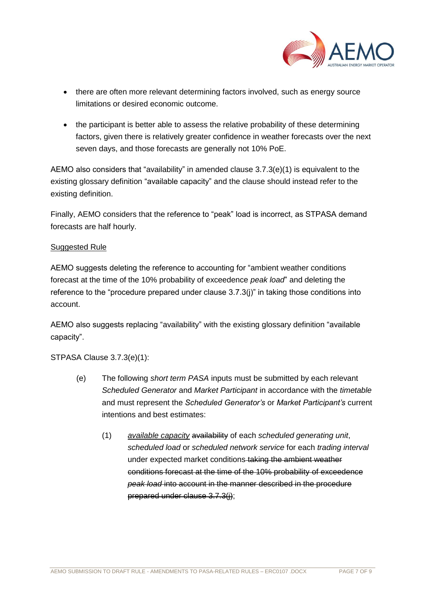

- there are often more relevant determining factors involved, such as energy source limitations or desired economic outcome.
- the participant is better able to assess the relative probability of these determining factors, given there is relatively greater confidence in weather forecasts over the next seven days, and those forecasts are generally not 10% PoE.

AEMO also considers that "availability" in amended clause 3.7.3(e)(1) is equivalent to the existing glossary definition "available capacity" and the clause should instead refer to the existing definition.

Finally, AEMO considers that the reference to "peak" load is incorrect, as STPASA demand forecasts are half hourly.

# Suggested Rule

AEMO suggests deleting the reference to accounting for "ambient weather conditions forecast at the time of the 10% probability of exceedence *peak load*" and deleting the reference to the "procedure prepared under clause 3.7.3(j)" in taking those conditions into account.

AEMO also suggests replacing "availability" with the existing glossary definition "available capacity".

# STPASA Clause 3.7.3(e)(1):

- (e) The following *short term PASA* inputs must be submitted by each relevant *Scheduled Generator* and *Market Participant* in accordance with the *timetable* and must represent the *Scheduled Generator's* or *Market Participant's* current intentions and best estimates:
	- (1) *available capacity* availability of each *scheduled generating unit*, *scheduled load* or *scheduled network service* for each *trading interval* under expected market conditions taking the ambient weather conditions forecast at the time of the 10% probability of exceedence *peak load* into account in the manner described in the procedure prepared under clause 3.7.3(j);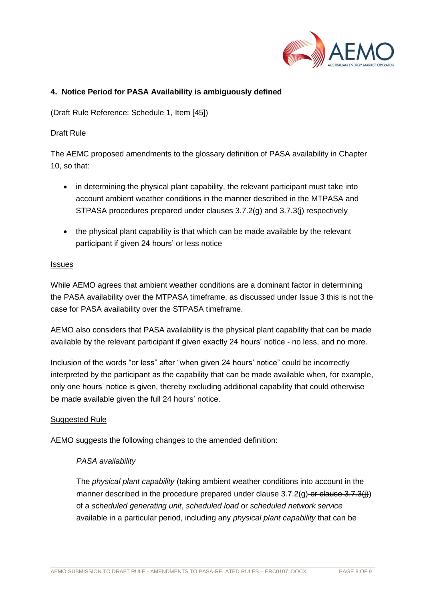

## **4. Notice Period for PASA Availability is ambiguously defined**

(Draft Rule Reference: Schedule 1, Item [45])

## Draft Rule

The AEMC proposed amendments to the glossary definition of PASA availability in Chapter 10, so that:

- in determining the physical plant capability, the relevant participant must take into account ambient weather conditions in the manner described in the MTPASA and STPASA procedures prepared under clauses 3.7.2(g) and 3.7.3(j) respectively
- the physical plant capability is that which can be made available by the relevant participant if given 24 hours' or less notice

#### Issues

While AEMO agrees that ambient weather conditions are a dominant factor in determining the PASA availability over the MTPASA timeframe, as discussed under Issue 3 this is not the case for PASA availability over the STPASA timeframe.

AEMO also considers that PASA availability is the physical plant capability that can be made available by the relevant participant if given exactly 24 hours' notice - no less, and no more.

Inclusion of the words "or less" after "when given 24 hours' notice" could be incorrectly interpreted by the participant as the capability that can be made available when, for example, only one hours' notice is given, thereby excluding additional capability that could otherwise be made available given the full 24 hours' notice.

## Suggested Rule

AEMO suggests the following changes to the amended definition:

## *PASA availability*

The *physical plant capability* (taking ambient weather conditions into account in the manner described in the procedure prepared under clause  $3.7.2(q)$  or clause  $3.7.3(q)$ ) of a *scheduled generating unit*, *scheduled load* or *scheduled network service* available in a particular period, including any *physical plant capability* that can be